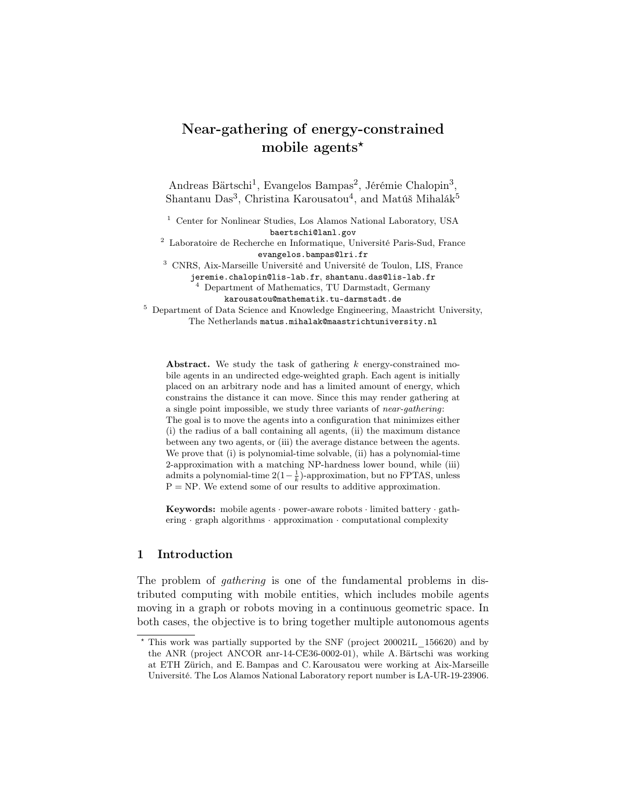# Near-gathering of energy-constrained mobile agents<sup>\*</sup>

Andreas Bärtschi<sup>1</sup>, Evangelos Bampas<sup>2</sup>, Jérémie Chalopin<sup>3</sup>, Shantanu Das<sup>3</sup>, Christina Karousatou<sup>4</sup>, and Matúš Mihalák<sup>5</sup>

<sup>1</sup> Center for Nonlinear Studies, Los Alamos National Laboratory, USA baertschi@lanl.gov

<sup>2</sup> Laboratoire de Recherche en Informatique, Université Paris-Sud, France evangelos.bampas@lri.fr

<sup>3</sup> CNRS, Aix-Marseille Université and Université de Toulon, LIS, France

jeremie.chalopin@lis-lab.fr, shantanu.das@lis-lab.fr <sup>4</sup> Department of Mathematics, TU Darmstadt, Germany

karousatou@mathematik.tu-darmstadt.de

<sup>5</sup> Department of Data Science and Knowledge Engineering, Maastricht University, The Netherlands matus.mihalak@maastrichtuniversity.nl

Abstract. We study the task of gathering  $k$  energy-constrained mobile agents in an undirected edge-weighted graph. Each agent is initially placed on an arbitrary node and has a limited amount of energy, which constrains the distance it can move. Since this may render gathering at a single point impossible, we study three variants of near-gathering: The goal is to move the agents into a configuration that minimizes either (i) the radius of a ball containing all agents, (ii) the maximum distance between any two agents, or (iii) the average distance between the agents. We prove that (i) is polynomial-time solvable, (ii) has a polynomial-time 2-approximation with a matching NP-hardness lower bound, while (iii) admits a polynomial-time  $2(1-\frac{1}{k})$ -approximation, but no FPTAS, unless  $P = NP$ . We extend some of our results to additive approximation.

Keywords: mobile agents · power-aware robots · limited battery · gathering  $\cdot$  graph algorithms  $\cdot$  approximation  $\cdot$  computational complexity

# 1 Introduction

The problem of *gathering* is one of the fundamental problems in distributed computing with mobile entities, which includes mobile agents moving in a graph or robots moving in a continuous geometric space. In both cases, the objective is to bring together multiple autonomous agents

<sup>?</sup> This work was partially supported by the SNF (project 200021L\_156620) and by the ANR (project ANCOR anr-14-CE36-0002-01), while A. Bärtschi was working at ETH Zürich, and E. Bampas and C. Karousatou were working at Aix-Marseille Université. The Los Alamos National Laboratory report number is LA-UR-19-23906.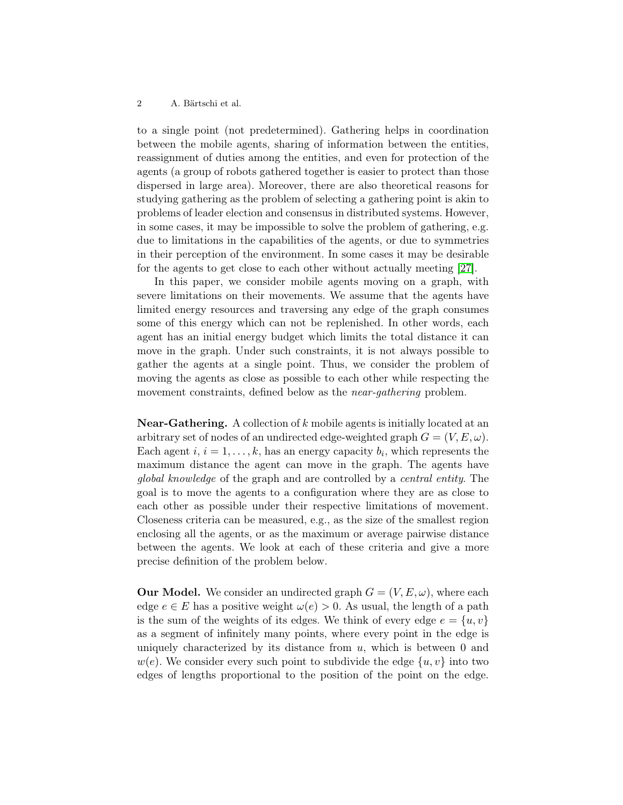to a single point (not predetermined). Gathering helps in coordination between the mobile agents, sharing of information between the entities, reassignment of duties among the entities, and even for protection of the agents (a group of robots gathered together is easier to protect than those dispersed in large area). Moreover, there are also theoretical reasons for studying gathering as the problem of selecting a gathering point is akin to problems of leader election and consensus in distributed systems. However, in some cases, it may be impossible to solve the problem of gathering, e.g. due to limitations in the capabilities of the agents, or due to symmetries in their perception of the environment. In some cases it may be desirable for the agents to get close to each other without actually meeting [\[27\]](#page-14-0).

In this paper, we consider mobile agents moving on a graph, with severe limitations on their movements. We assume that the agents have limited energy resources and traversing any edge of the graph consumes some of this energy which can not be replenished. In other words, each agent has an initial energy budget which limits the total distance it can move in the graph. Under such constraints, it is not always possible to gather the agents at a single point. Thus, we consider the problem of moving the agents as close as possible to each other while respecting the movement constraints, defined below as the *near-gathering* problem.

**Near-Gathering.** A collection of k mobile agents is initially located at an arbitrary set of nodes of an undirected edge-weighted graph  $G = (V, E, \omega)$ . Each agent  $i, i = 1, \ldots, k$ , has an energy capacity  $b_i$ , which represents the maximum distance the agent can move in the graph. The agents have global knowledge of the graph and are controlled by a central entity. The goal is to move the agents to a configuration where they are as close to each other as possible under their respective limitations of movement. Closeness criteria can be measured, e.g., as the size of the smallest region enclosing all the agents, or as the maximum or average pairwise distance between the agents. We look at each of these criteria and give a more precise definition of the problem below.

**Our Model.** We consider an undirected graph  $G = (V, E, \omega)$ , where each edge  $e \in E$  has a positive weight  $\omega(e) > 0$ . As usual, the length of a path is the sum of the weights of its edges. We think of every edge  $e = \{u, v\}$ as a segment of infinitely many points, where every point in the edge is uniquely characterized by its distance from  $u$ , which is between 0 and  $w(e)$ . We consider every such point to subdivide the edge  $\{u, v\}$  into two edges of lengths proportional to the position of the point on the edge.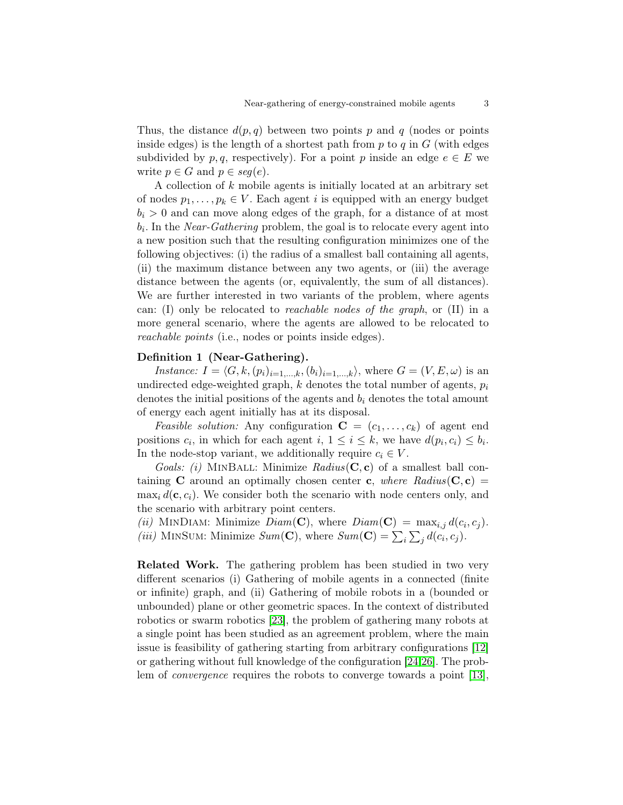Thus, the distance  $d(p,q)$  between two points p and q (nodes or points inside edges) is the length of a shortest path from  $p$  to  $q$  in  $G$  (with edges subdivided by p, q, respectively). For a point p inside an edge  $e \in E$  we write  $p \in G$  and  $p \in \text{seg}(e)$ .

A collection of k mobile agents is initially located at an arbitrary set of nodes  $p_1, \ldots, p_k \in V$ . Each agent i is equipped with an energy budget  $b_i > 0$  and can move along edges of the graph, for a distance of at most  $b_i$ . In the *Near-Gathering* problem, the goal is to relocate every agent into a new position such that the resulting configuration minimizes one of the following objectives: (i) the radius of a smallest ball containing all agents, (ii) the maximum distance between any two agents, or (iii) the average distance between the agents (or, equivalently, the sum of all distances). We are further interested in two variants of the problem, where agents can: (I) only be relocated to *reachable nodes of the graph*, or (II) in a more general scenario, where the agents are allowed to be relocated to reachable points (i.e., nodes or points inside edges).

### Definition 1 (Near-Gathering).

*Instance:*  $I = \langle G, k,(p_i)_{i=1,...,k},(b_i)_{i=1,...,k}\rangle$ , where  $G = (V, E, \omega)$  is an undirected edge-weighted graph, k denotes the total number of agents,  $p_i$ denotes the initial positions of the agents and  $b_i$  denotes the total amount of energy each agent initially has at its disposal.

*Feasible solution:* Any configuration  $C = (c_1, \ldots, c_k)$  of agent end positions  $c_i$ , in which for each agent  $i, 1 \leq i \leq k$ , we have  $d(p_i, c_i) \leq b_i$ . In the node-stop variant, we additionally require  $c_i \in V$ .

Goals: (i) MINBALL: Minimize  $Radius(\mathbf{C}, \mathbf{c})$  of a smallest ball containing C around an optimally chosen center c, where  $Radius(C, c)$  =  $\max_i d(c, c_i)$ . We consider both the scenario with node centers only, and the scenario with arbitrary point centers.

(ii) MINDIAM: Minimize  $Diam(C)$ , where  $Diam(C) = max_{i,j} d(c_i, c_j)$ . (*iii*) MINSUM: Minimize  $Sum(\mathbf{C})$ , where  $Sum(\mathbf{C}) = \sum_i \sum_j d(c_i, c_j)$ .

Related Work. The gathering problem has been studied in two very different scenarios (i) Gathering of mobile agents in a connected (finite or infinite) graph, and (ii) Gathering of mobile robots in a (bounded or unbounded) plane or other geometric spaces. In the context of distributed robotics or swarm robotics [\[23\]](#page-14-1), the problem of gathering many robots at a single point has been studied as an agreement problem, where the main issue is feasibility of gathering starting from arbitrary configurations [\[12\]](#page-14-2) or gathering without full knowledge of the configuration [\[24](#page-14-3)[,26\]](#page-14-4). The problem of convergence requires the robots to converge towards a point [\[13\]](#page-14-5),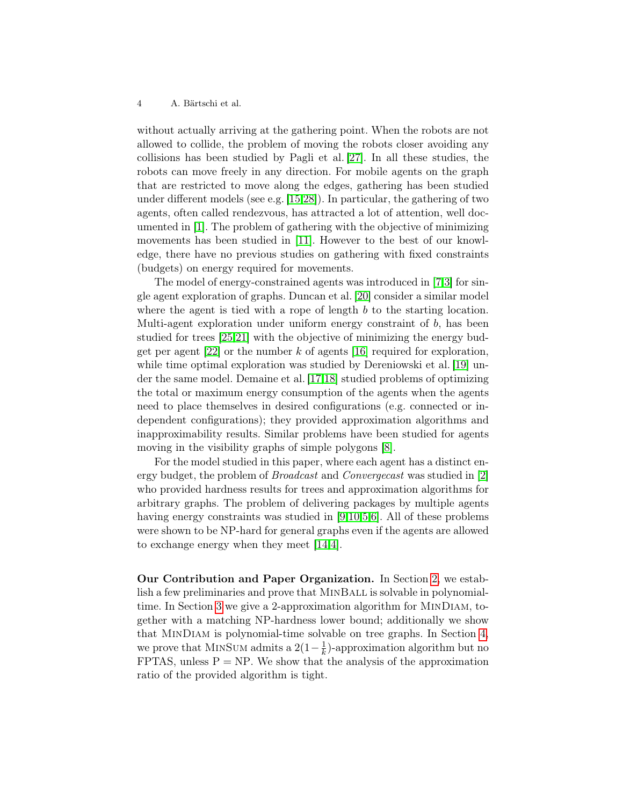without actually arriving at the gathering point. When the robots are not allowed to collide, the problem of moving the robots closer avoiding any collisions has been studied by Pagli et al. [\[27\]](#page-14-0). In all these studies, the robots can move freely in any direction. For mobile agents on the graph that are restricted to move along the edges, gathering has been studied under different models (see e.g. [\[15](#page-14-6)[,28\]](#page-14-7)). In particular, the gathering of two agents, often called rendezvous, has attracted a lot of attention, well documented in [\[1\]](#page-13-0). The problem of gathering with the objective of minimizing movements has been studied in [\[11\]](#page-14-8). However to the best of our knowledge, there have no previous studies on gathering with fixed constraints (budgets) on energy required for movements.

The model of energy-constrained agents was introduced in [\[7,](#page-14-9)[3\]](#page-13-1) for single agent exploration of graphs. Duncan et al. [\[20\]](#page-14-10) consider a similar model where the agent is tied with a rope of length  $b$  to the starting location. Multi-agent exploration under uniform energy constraint of  $b$ , has been studied for trees [\[25,](#page-14-11)[21\]](#page-14-12) with the objective of minimizing the energy budget per agent  $[22]$  or the number k of agents  $[16]$  required for exploration, while time optimal exploration was studied by Dereniowski et al. [\[19\]](#page-14-15) under the same model. Demaine et al. [\[17,](#page-14-16)[18\]](#page-14-17) studied problems of optimizing the total or maximum energy consumption of the agents when the agents need to place themselves in desired configurations (e.g. connected or independent configurations); they provided approximation algorithms and inapproximability results. Similar problems have been studied for agents moving in the visibility graphs of simple polygons [\[8\]](#page-14-18).

For the model studied in this paper, where each agent has a distinct energy budget, the problem of Broadcast and Convergecast was studied in [\[2\]](#page-13-2) who provided hardness results for trees and approximation algorithms for arbitrary graphs. The problem of delivering packages by multiple agents having energy constraints was studied in [\[9,](#page-14-19)[10](#page-14-20)[,5,](#page-13-3)[6\]](#page-13-4). All of these problems were shown to be NP-hard for general graphs even if the agents are allowed to exchange energy when they meet [\[14](#page-14-21)[,4\]](#page-13-5).

Our Contribution and Paper Organization. In Section [2,](#page-4-0) we establish a few preliminaries and prove that MINBALL is solvable in polynomialtime. In Section [3](#page-6-0) we give a 2-approximation algorithm for MinDiam, together with a matching NP-hardness lower bound; additionally we show that MinDiam is polynomial-time solvable on tree graphs. In Section [4,](#page-11-0) we prove that MINSUM admits a  $2(1-\frac{1}{k})$  $\frac{1}{k}$ )-approximation algorithm but no FPTAS, unless  $P = NP$ . We show that the analysis of the approximation ratio of the provided algorithm is tight.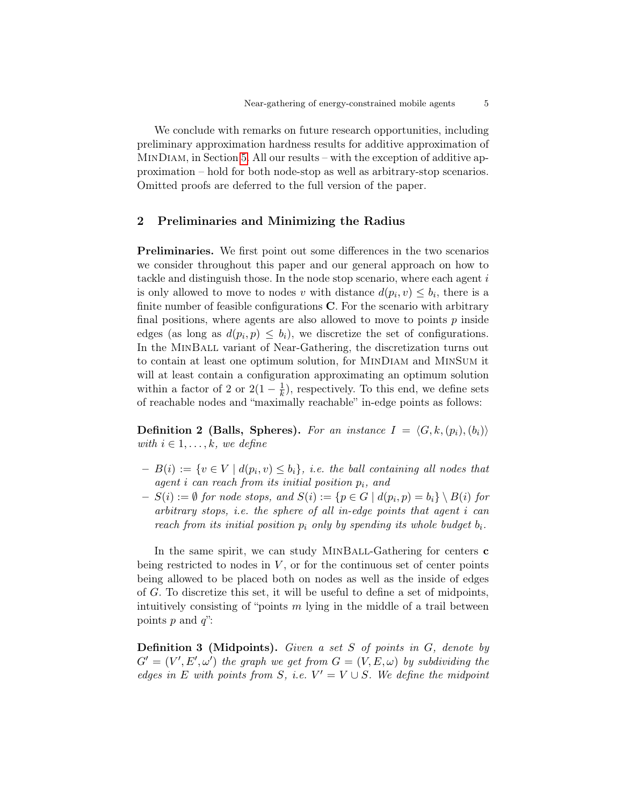We conclude with remarks on future research opportunities, including preliminary approximation hardness results for additive approximation of MinDiam, in Section [5.](#page-12-0) All our results – with the exception of additive approximation – hold for both node-stop as well as arbitrary-stop scenarios. Omitted proofs are deferred to the full version of the paper.

### <span id="page-4-0"></span>2 Preliminaries and Minimizing the Radius

Preliminaries. We first point out some differences in the two scenarios we consider throughout this paper and our general approach on how to tackle and distinguish those. In the node stop scenario, where each agent  $i$ is only allowed to move to nodes v with distance  $d(p_i, v) \leq b_i$ , there is a finite number of feasible configurations **C**. For the scenario with arbitrary final positions, where agents are also allowed to move to points  $p$  inside edges (as long as  $d(p_i, p) \leq b_i$ ), we discretize the set of configurations. In the MINBALL variant of Near-Gathering, the discretization turns out to contain at least one optimum solution, for MinDiam and MinSum it will at least contain a configuration approximating an optimum solution within a factor of 2 or  $2(1-\frac{1}{k})$  $\frac{1}{k}$ , respectively. To this end, we define sets of reachable nodes and "maximally reachable" in-edge points as follows:

**Definition 2 (Balls, Spheres).** For an instance  $I = \langle G, k, (p_i), (b_i) \rangle$ with  $i \in 1, \ldots, k$ , we define

- $-P(b) := \{v \in V \mid d(p_i, v) \leq b_i\},\ i.e.\ the\ ball\ containing\ all\ nodes\ that$ agent i can reach from its initial position  $p_i$ , and
- $-S(i) := \emptyset$  for node stops, and  $S(i) := \{p \in G \mid d(p_i, p) = b_i\} \setminus B(i)$  for arbitrary stops, i.e. the sphere of all in-edge points that agent i can reach from its initial position  $p_i$  only by spending its whole budget  $b_i$ .

In the same spirit, we can study MINBALL-Gathering for centers **c** being restricted to nodes in  $V$ , or for the continuous set of center points being allowed to be placed both on nodes as well as the inside of edges of G. To discretize this set, it will be useful to define a set of midpoints, intuitively consisting of "points  $m$  lying in the middle of a trail between points  $p$  and  $q$ ":

**Definition 3 (Midpoints).** Given a set  $S$  of points in  $G$ , denote by  $G' = (V', E', \omega')$  the graph we get from  $G = (V, E, \omega)$  by subdividing the edges in E with points from S, i.e.  $V' = V \cup S$ . We define the midpoint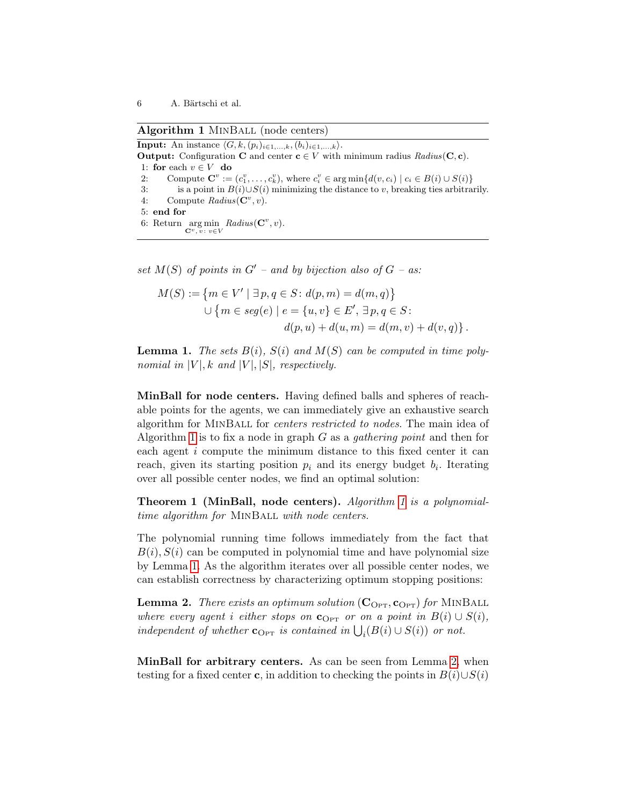<span id="page-5-0"></span>Algorithm 1 MINBALL (node centers)

**Input:** An instance  $\langle G, k,(p_i)_{i\in1,\ldots,k},(b_i)_{i\in1,\ldots,k}\rangle$ . **Output:** Configuration **C** and center  $c \in V$  with minimum radius  $Radius(C, c)$ . 1: for each  $v \in V$  do 2: Compute  $\mathbf{C}^v := (c_1^v, \dots, c_k^v)$ , where  $c_i^v \in \arg\min\{d(v, c_i) \mid c_i \in B(i) \cup S(i)\}\$ 3: is a point in  $B(i) \cup S(i)$  minimizing the distance to v, breaking ties arbitrarily. 4: Compute  $Radius(\mathbf{C}^v, v)$ . 5: end for 6: Return arg min  $Radius(\mathbf{C}^v, v)$ .  $\mathbf{C}^v, v: v \in V$ 

set  $M(S)$  of points in  $G'$  – and by bijection also of  $G$  – as:

$$
M(S) := \{ m \in V' \mid \exists p, q \in S : d(p, m) = d(m, q) \}
$$
  

$$
\cup \{ m \in seg(e) \mid e = \{ u, v \} \in E', \exists p, q \in S : d(p, u) + d(u, m) = d(m, v) + d(v, q) \}.
$$

<span id="page-5-1"></span>**Lemma 1.** The sets  $B(i)$ ,  $S(i)$  and  $M(S)$  can be computed in time polynomial in  $|V|$ , k and  $|V|$ ,  $|S|$ , respectively.

MinBall for node centers. Having defined balls and spheres of reachable points for the agents, we can immediately give an exhaustive search algorithm for MinBall for centers restricted to nodes. The main idea of Algorithm [1](#page-5-0) is to fix a node in graph  $G$  as a *qathering point* and then for each agent i compute the minimum distance to this fixed center it can reach, given its starting position  $p_i$  and its energy budget  $b_i$ . Iterating over all possible center nodes, we find an optimal solution:

<span id="page-5-3"></span>Theorem 1 (MinBall, node centers). Algorithm [1](#page-5-0) is a polynomialtime algorithm for MinBall with node centers.

The polynomial running time follows immediately from the fact that  $B(i)$ ,  $S(i)$  can be computed in polynomial time and have polynomial size by Lemma [1.](#page-5-1) As the algorithm iterates over all possible center nodes, we can establish correctness by characterizing optimum stopping positions:

<span id="page-5-2"></span>**Lemma 2.** There exists an optimum solution  $(C_{\text{OPT}}, c_{\text{OPT}})$  for MINBALL where every agent i either stops on  $\mathbf{c}_{\text{OPT}}$  or on a point in  $B(i) \cup S(i)$ , independent of whether  $\mathbf{c}_{\text{Opt}}$  is contained in  $\bigcup_i (B(i) \cup S(i))$  or not.

MinBall for arbitrary centers. As can be seen from Lemma [2,](#page-5-2) when testing for a fixed center **c**, in addition to checking the points in  $B(i) \cup S(i)$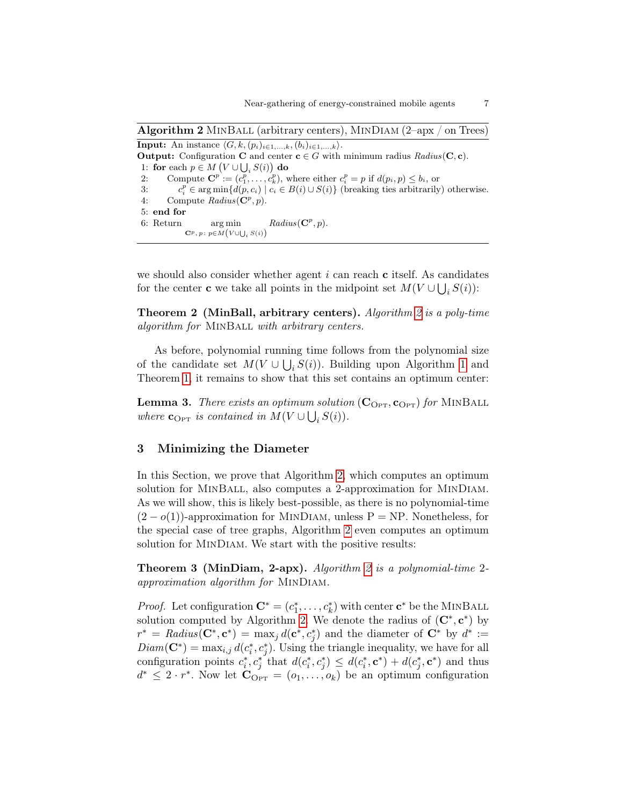<span id="page-6-1"></span>Algorithm 2 MINBALL (arbitrary centers), MINDIAM (2–apx / on Trees) **Input:** An instance  $\langle G, k,(p_i)_{i\in1,\ldots,k},(b_i)_{i\in1,\ldots,k}\rangle$ . **Output:** Configuration **C** and center  $c \in G$  with minimum radius  $Radius(C, c)$ . 1: for each  $p \in M(V \cup \bigcup_i S(i))$  do 2: Compute  $\mathbf{C}^p := (c_1^p, \ldots, c_k^p)$ , where either  $c_i^p = p$  if  $d(p_i, p) \leq b_i$ , or  $3:$  $p_i^p$  ∈ arg min $\{d(p, c_i) \mid c_i \in B(i) \cup S(i)\}$  (breaking ties arbitrarily) otherwise. 4: Compute  $Radius(\mathbf{C}^p, p)$ . 5: end for 6: Return arg min  $\mathbf{C}^p, p: p \in M \big( V \cup \bigcup_i S(i) \big)$  $Radius(\mathbf{C}^p, p).$ 

we should also consider whether agent  $i$  can reach  $c$  itself. As candidates for the center **c** we take all points in the midpoint set  $M(V \cup \bigcup_i S(i))$ :

<span id="page-6-2"></span>Theorem 2 (MinBall, arbitrary centers). Algorithm [2](#page-6-1) is a poly-time algorithm for MinBall with arbitrary centers.

As before, polynomial running time follows from the polynomial size of the candidate set  $M(V \cup \bigcup_i S(i))$ . Building upon Algorithm [1](#page-5-0) and Theorem [1,](#page-5-3) it remains to show that this set contains an optimum center:

<span id="page-6-3"></span>**Lemma 3.** There exists an optimum solution  $(C_{\text{OPT}}, c_{\text{OPT}})$  for MINBALL where  $\mathbf{c}_{\text{Opt}}$  is contained in  $M(V \cup \bigcup_i S(i)).$ 

#### <span id="page-6-0"></span>3 Minimizing the Diameter

In this Section, we prove that Algorithm [2,](#page-6-1) which computes an optimum solution for MINBALL, also computes a 2-approximation for MINDIAM. As we will show, this is likely best-possible, as there is no polynomial-time  $(2-o(1))$ -approximation for MINDIAM, unless P = NP. Nonetheless, for the special case of tree graphs, Algorithm [2](#page-6-1) even computes an optimum solution for MINDIAM. We start with the positive results:

Theorem 3 (MinDiam, 2-apx). Algorithm [2](#page-6-1) is a polynomial-time 2 approximation algorithm for MINDIAM.

*Proof.* Let configuration  $\mathbf{C}^* = (c_1^*, \dots, c_k^*)$  with center  $\mathbf{c}^*$  be the MINBALL solution computed by Algorithm [2.](#page-6-1) We denote the radius of  $(C^*, c^*)$  by  $r^* = Radius(\mathbf{C}^*, \mathbf{c}^*) = \max_j d(\mathbf{c}^*, c_j^*)$  and the diameter of  $\mathbf{C}^*$  by  $d^* :=$  $Diam(\mathbf{C}^*) = \max_{i,j} d(c_i^*, c_j^*)$ . Using the triangle inequality, we have for all configuration points  $c_i^*, c_j^*$  that  $d(c_i^*, c_j^*) \leq d(c_i^*, \mathbf{c}^*) + d(c_j^*, \mathbf{c}^*)$  and thus  $d^* \leq 2 \cdot r^*$ . Now let  $\mathbf{C}_{\text{OPT}} = (o_1, \ldots, o_k)$  be an optimum configuration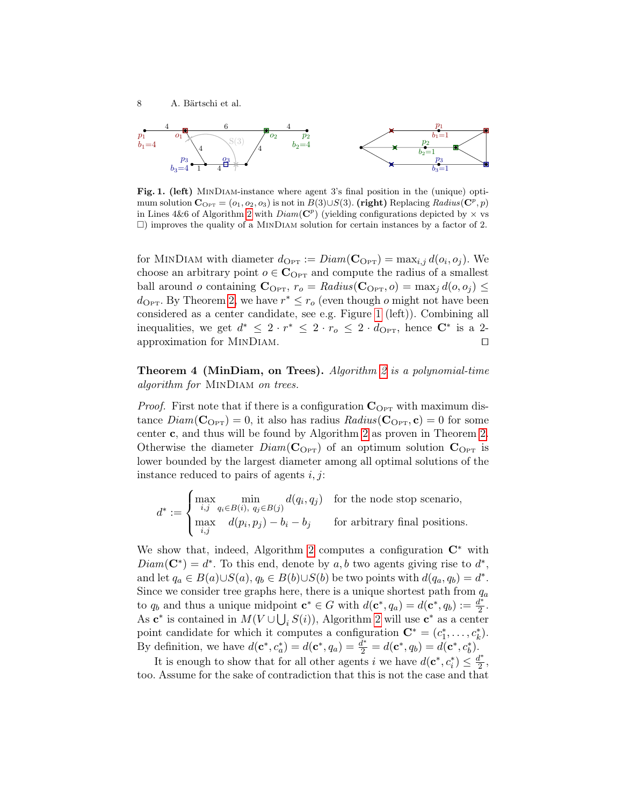



<span id="page-7-0"></span>Fig. 1. (left) MinDiam-instance where agent 3's final position in the (unique) optimum solution  $\mathbf{C}_{\text{OPT}} = (o_1, o_2, o_3)$  is not in  $B(3) \cup S(3)$ . (right) Replacing Radius( $\mathbf{C}^p$ , p) in Lines 4&6 of Algorithm [2](#page-6-1) with  $Diam(\mathbf{C}^p)$  (yielding configurations depicted by  $\times$  vs  $\square$ ) improves the quality of a MINDIAM solution for certain instances by a factor of 2.

for MINDIAM with diameter  $d_{\text{OPT}} := Diam(\mathbf{C}_{\text{OPT}}) = \max_{i,j} d(o_i, o_j)$ . We choose an arbitrary point  $o \in \mathbb{C}_{\text{Opt}}$  and compute the radius of a smallest ball around o containing  $\mathbf{C}_{\text{OPT}}$ ,  $r_o = \text{Radius}(\mathbf{C}_{\text{OPT}}, o) = \max_j d(o, o_j) \leq$  $d_{\text{Opt}}$ . By Theorem [2,](#page-6-2) we have  $r^* \leq r_o$  (even though *o* might not have been considered as a center candidate, see e.g. Figure [1](#page-7-0) (left)). Combining all inequalities, we get  $d^* \leq 2 \cdot r^* \leq 2 \cdot r_o \leq 2 \cdot d_{\text{OPT}}$ , hence  $\mathbb{C}^*$  is a 2approximation for  $MINDIAM$ .

Theorem 4 (MinDiam, on Trees). Algorithm [2](#page-6-1) is a polynomial-time algorithm for MINDIAM on trees.

*Proof.* First note that if there is a configuration  $\mathbf{C}_{\text{Opt}}$  with maximum distance  $Diam(\mathbf{C}_{\text{OPT}}) = 0$ , it also has radius  $Radius(\mathbf{C}_{\text{OPT}}, \mathbf{c}) = 0$  for some center c, and thus will be found by Algorithm [2](#page-6-1) as proven in Theorem [2.](#page-6-2) Otherwise the diameter  $Diam(C_{\text{OPT}})$  of an optimum solution  $C_{\text{OPT}}$  is lower bounded by the largest diameter among all optimal solutions of the instance reduced to pairs of agents  $i, j$ :

$$
d^* := \begin{cases} \max_{i,j} \min_{q_i \in B(i), \ q_j \in B(j)} d(q_i, q_j) & \text{for the node stop scenario,} \\ \max_{i,j} \quad d(p_i, p_j) - b_i - b_j & \text{for arbitrary final positions.} \end{cases}
$$

We show that, indeed, Algorithm [2](#page-6-1) computes a configuration  $\mathbb{C}^*$  with  $Diam(\mathbf{C}^*) = d^*$ . To this end, denote by a, b two agents giving rise to  $d^*$ , and let  $q_a \in B(a) \cup S(a)$ ,  $q_b \in B(b) \cup S(b)$  be two points with  $d(q_a, q_b) = d^*$ . Since we consider tree graphs here, there is a unique shortest path from  $q_a$ to  $q_b$  and thus a unique midpoint  $\mathbf{c}^* \in G$  with  $d(\mathbf{c}^*, q_a) = d(\mathbf{c}^*, q_b) := \frac{d^*}{2}$  $\frac{t^*}{2}$  . As  $\mathbf{c}^*$  is contained in  $M(V \cup \bigcup_i S(i))$ , Algorithm [2](#page-6-1) will use  $\mathbf{c}^*$  as a center point candidate for which it computes a configuration  $\mathbf{C}^* = (c_1^*, \ldots, c_k^*)$ . By definition, we have  $d(\mathbf{c}^*, c_a^*) = d(\mathbf{c}^*, q_a) = \frac{\bar{d}^*}{2} = d(\mathbf{c}^*, q_b) = d(\mathbf{c}^*, c_b^*)$ .

It is enough to show that for all other agents i we have  $d(c^*, c_i^*) \leq \frac{d^*}{2}$  $\frac{t^*}{2}$ , too. Assume for the sake of contradiction that this is not the case and that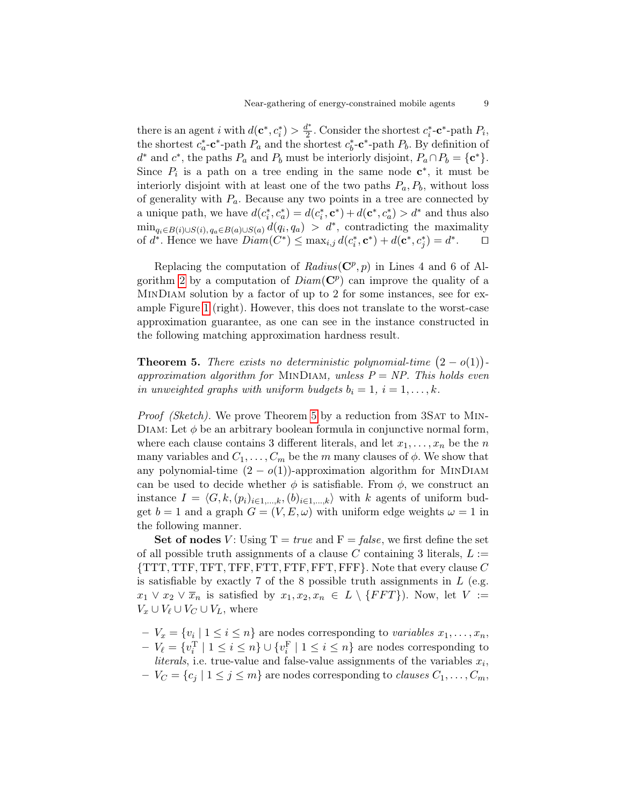there is an agent *i* with  $d(c^*, c_i^*) > \frac{d^*}{2}$  $\frac{l^*}{2}$ . Consider the shortest  $c_i^*$ -**c**<sup>\*</sup>-path  $P_i$ , the shortest  $c_a^*$ -**c**<sup>\*</sup>-path  $P_a$  and the shortest  $c_b^*$ -**c**<sup>\*</sup>-path  $P_b$ . By definition of  $d^*$  and  $c^*$ , the paths  $P_a$  and  $P_b$  must be interiorly disjoint,  $P_a \cap P_b = \{c^*\}.$ Since  $P_i$  is a path on a tree ending in the same node  $\mathbf{c}^*$ , it must be interiorly disjoint with at least one of the two paths  $P_a, P_b$ , without loss of generality with  $P_a$ . Because any two points in a tree are connected by a unique path, we have  $d(c_i^*, c_a^*) = d(c_i^*, \mathbf{c}^*) + d(\mathbf{c}^*, c_a^*) > d^*$  and thus also  $\min_{q_i \in B(i) \cup S(i), q_a \in B(a) \cup S(a)} d(q_i, q_a) > d^*$ , contradicting the maximality of  $d^*$ . Hence we have  $Diam(C^*) \leq max_{i,j} d(c_i^*, \mathbf{c}^*) + d(\mathbf{c}^*, c_j^*) = d^*$  $\Box$ 

Replacing the computation of  $Radius(\mathbf{C}^p, p)$  in Lines 4 and 6 of Al-gorithm [2](#page-6-1) by a computation of  $Diam(\mathbf{C}^p)$  can improve the quality of a MinDiam solution by a factor of up to 2 for some instances, see for example Figure [1](#page-7-0) (right). However, this does not translate to the worst-case approximation guarantee, as one can see in the instance constructed in the following matching approximation hardness result.

<span id="page-8-0"></span>**Theorem 5.** There exists no deterministic polynomial-time  $(2 - o(1))$ approximation algorithm for MINDIAM, unless  $P = NP$ . This holds even in unweighted graphs with uniform budgets  $b_i = 1, i = 1, \ldots, k$ .

*Proof (Sketch)*. We prove Theorem [5](#page-8-0) by a reduction from  $3SAT$  to MIN-DIAM: Let  $\phi$  be an arbitrary boolean formula in conjunctive normal form, where each clause contains 3 different literals, and let  $x_1, \ldots, x_n$  be the n many variables and  $C_1, \ldots, C_m$  be the m many clauses of  $\phi$ . We show that any polynomial-time  $(2 - o(1))$ -approximation algorithm for MINDIAM can be used to decide whether  $\phi$  is satisfiable. From  $\phi$ , we construct an instance  $I = \langle G, k,(p_i)_{i\in1,\dots,k},(b)_{i\in1,\dots,k}\rangle$  with k agents of uniform budget  $b = 1$  and a graph  $G = (V, E, \omega)$  with uniform edge weights  $\omega = 1$  in the following manner.

Set of nodes V: Using  $T = true$  and  $F = false$ , we first define the set of all possible truth assignments of a clause C containing 3 literals,  $L :=$ {TTT, TTF, TFT, TFF, FTT, FTF, FFT, FFF}. Note that every clause C is satisfiable by exactly 7 of the 8 possible truth assignments in  $L$  (e.g.  $x_1 \vee x_2 \vee \overline{x}_n$  is satisfied by  $x_1, x_2, x_n \in L \setminus \{FFT\}).$  Now, let  $V :=$  $V_x \cup V_\ell \cup V_C \cup V_L$ , where

- $-V_x = \{v_i \mid 1 \leq i \leq n\}$  are nodes corresponding to variables  $x_1, \ldots, x_n$ ,  $-V_{\ell} = \{v_i^{\mathrm{T}} \mid 1 \leq i \leq n\} \cup \{v_i^{\mathrm{F}} \mid 1 \leq i \leq n\}$  are nodes corresponding to literals, i.e. true-value and false-value assignments of the variables  $x_i$ ,
- $-V_C = \{c_j \mid 1 \leq j \leq m\}$  are nodes corresponding to *clauses*  $C_1, \ldots, C_m$ ,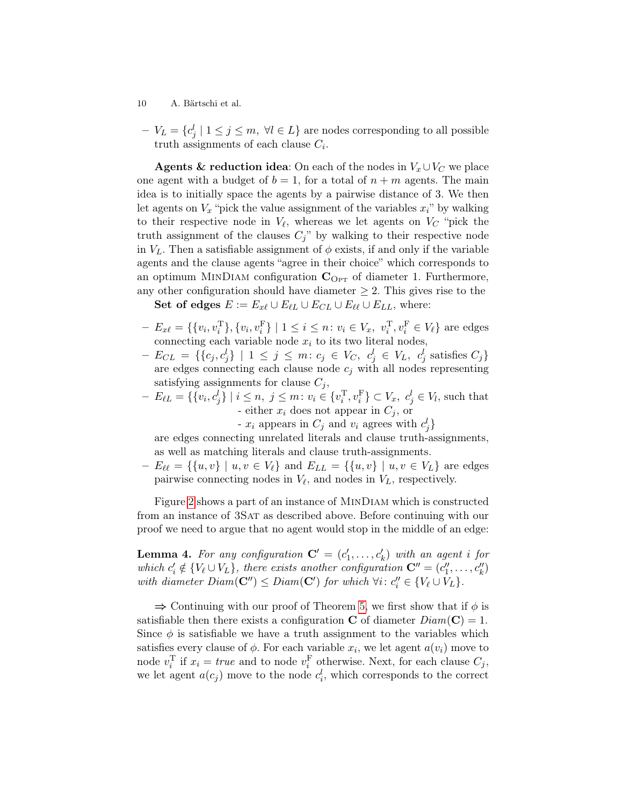- 10 A. Bärtschi et al.
	- $-V_L = \{c_j^l \mid 1 \leq j \leq m, \ \forall l \in L\}$  are nodes corresponding to all possible truth assignments of each clause  $C_i$ .

Agents & reduction idea: On each of the nodes in  $V_x \cup V_C$  we place one agent with a budget of  $b = 1$ , for a total of  $n + m$  agents. The main idea is to initially space the agents by a pairwise distance of 3. We then let agents on  $V_x$  "pick the value assignment of the variables  $x_i$ " by walking to their respective node in  $V_{\ell}$ , whereas we let agents on  $V_C$  "pick the truth assignment of the clauses  $C_i$ " by walking to their respective node in  $V_L$ . Then a satisfiable assignment of  $\phi$  exists, if and only if the variable agents and the clause agents "agree in their choice" which corresponds to an optimum MINDIAM configuration  $\mathbf{C}_{\text{Opt}}$  of diameter 1. Furthermore, any other configuration should have diameter  $\geq 2$ . This gives rise to the

Set of edges  $E := E_{x\ell} \cup E_{\ell L} \cup E_{CL} \cup E_{\ell \ell} \cup E_{LL}$ , where:

- $-E_{x\ell} = \{\{v_i, v_i^{\mathrm{T}}\}, \{v_i, v_i^{\mathrm{F}}\} \mid 1 \leq i \leq n : v_i \in V_x, v_i^{\mathrm{T}}, v_i^{\mathrm{F}} \in V_\ell\}$  are edges connecting each variable node  $x_i$  to its two literal nodes,
- $-E_{CL} = \{ \{c_j, c_j^l\} \mid 1 \leq j \leq m \colon c_j \in V_C, \ c_j^l \in V_L, \ c_j^l \text{ satisfies } C_j \}$ are edges connecting each clause node  $c_i$  with all nodes representing satisfying assignments for clause  $C_j$ ,
- $-E_{\ell L} = \{ \{v_i, c_j^l\} \mid i \leq n, j \leq m \colon v_i \in \{v_i^{\mathrm{T}}, v_i^{\mathrm{F}}\} \subset V_x, c_j^l \in V_l \text{, such that }$ - either  $x_i$  does not appear in  $C_j$ , or
	- $x_i$  appears in  $C_j$  and  $v_i$  agrees with  $c_j^l$ }

are edges connecting unrelated literals and clause truth-assignments, as well as matching literals and clause truth-assignments.

–  $E_{\ell\ell} = \{\{u, v\} | u, v \in V_{\ell}\}\$ and  $E_{LL} = \{\{u, v\} | u, v \in V_{\ell}\}\$ are edges pairwise connecting nodes in  $V_{\ell}$ , and nodes in  $V_L$ , respectively.

Figure [2](#page-10-0) shows a part of an instance of MinDiam which is constructed from an instance of 3Sat as described above. Before continuing with our proof we need to argue that no agent would stop in the middle of an edge:

<span id="page-9-0"></span>**Lemma 4.** For any configuration  $\mathbf{C}' = (c'_1, \ldots, c'_k)$  with an agent i for which  $c'_i \notin \{V_\ell \cup V_L\}$ , there exists another configuration  $\mathbf{C}'' = (c''_1, \dots, c''_k)$ with diameter  $Diam(C'') \leq Diam(C')$  for which  $\forall i: c''_i \in \{V_\ell \cup V_L\}.$ 

 $\Rightarrow$  Continuing with our proof of Theorem [5,](#page-8-0) we first show that if  $\phi$  is satisfiable then there exists a configuration **C** of diameter  $Diam(C) = 1$ . Since  $\phi$  is satisfiable we have a truth assignment to the variables which satisfies every clause of  $\phi$ . For each variable  $x_i$ , we let agent  $a(v_i)$  move to node  $v_i^{\mathrm{T}}$  if  $x_i = true$  and to node  $v_i^{\mathrm{F}}$  otherwise. Next, for each clause  $C_j$ , we let agent  $a(c_j)$  move to the node  $c_i^l$ , which corresponds to the correct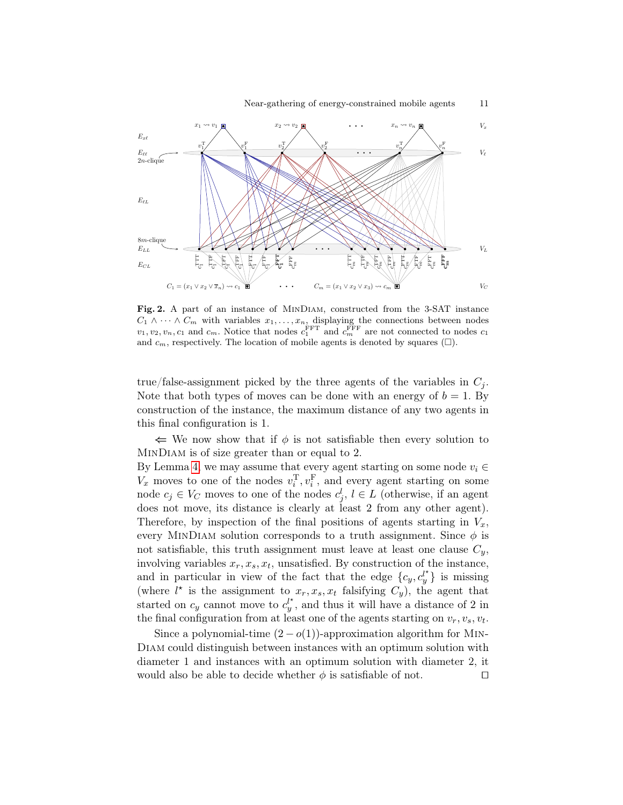

<span id="page-10-0"></span>Fig. 2. A part of an instance of MinDiam, constructed from the 3-SAT instance  $C_1 \wedge \cdots \wedge C_m$  with variables  $x_1, \ldots, x_n$ , displaying the connections between nodes  $v_1, v_2, v_n, c_1$  and  $c_m$ . Notice that nodes  $c_1^{\text{FFT}}$  and  $c_m^{\text{FFT}}$  are not connected to nodes  $c_1$ and  $c_m$ , respectively. The location of mobile agents is denoted by squares  $(\square)$ .

true/false-assignment picked by the three agents of the variables in  $C_i$ . Note that both types of moves can be done with an energy of  $b = 1$ . By construction of the instance, the maximum distance of any two agents in this final configuration is 1.

 $\Leftarrow$  We now show that if  $\phi$  is not satisfiable then every solution to MINDIAM is of size greater than or equal to 2.

By Lemma [4,](#page-9-0) we may assume that every agent starting on some node  $v_i \in$  $V_x$  moves to one of the nodes  $v_i^{\mathrm{T}}, v_i^{\mathrm{F}},$  and every agent starting on some node  $c_j \in V_C$  moves to one of the nodes  $c_j^l$ ,  $l \in L$  (otherwise, if an agent does not move, its distance is clearly at least 2 from any other agent). Therefore, by inspection of the final positions of agents starting in  $V_x$ , every MINDIAM solution corresponds to a truth assignment. Since  $\phi$  is not satisfiable, this truth assignment must leave at least one clause  $C_u$ , involving variables  $x_r, x_s, x_t$ , unsatisfied. By construction of the instance, and in particular in view of the fact that the edge  ${c_y, c_y^{\prime*}}$  is missing (where  $l^*$  is the assignment to  $x_r, x_s, x_t$  falsifying  $C_y$ ), the agent that started on  $c_y$  cannot move to  $c_y^{\prime^*}$ , and thus it will have a distance of 2 in the final configuration from at least one of the agents starting on  $v_r, v_s, v_t$ .

Since a polynomial-time  $(2 - o(1))$ -approximation algorithm for MIN-Diam could distinguish between instances with an optimum solution with diameter 1 and instances with an optimum solution with diameter 2, it would also be able to decide whether  $\phi$  is satisfiable of not.  $\Box$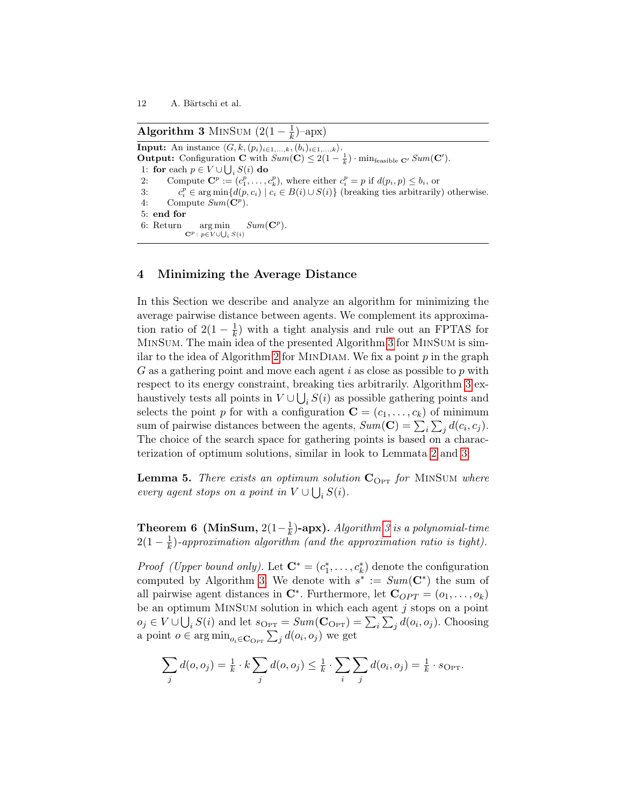<span id="page-11-1"></span>Algorithm 3 MINSUM  $(2(1 - \frac{1}{k}))$  $(\frac{1}{k})$ -apx)

**Input:** An instance  $\langle G, k,(p_i)_{i\in 1,...,k},(b_i)_{i\in 1,...,k}\rangle$ . **Output:** Configuration **C** with  $Sum(C) \leq 2(1 - \frac{1}{k}) \cdot min_{\text{feasible } C'} \text{Sum}(C')$ . 1: for each  $p \in V \cup \bigcup_i S(i)$  do 2: Compute  $\mathbf{C}^p := (c_1^p, \ldots, c_k^p)$ , where either  $c_i^p = p$  if  $d(p_i, p) \leq b_i$ , or  $3:$  $p_i^p$  ∈ arg min $\{d(p, c_i) \mid c_i \in B(i) \cup S(i)\}$  (breaking ties arbitrarily) otherwise. 4: Compute  $Sum(\mathbf{C}^p)$ . 5: end for 6: Return arg min  ${\bf C}^p \colon p{\in} V {\cup}{\bigcup}_i\; S(i)$  $Sum(\mathbf{C}^p)$ .

## <span id="page-11-0"></span>4 Minimizing the Average Distance

In this Section we describe and analyze an algorithm for minimizing the average pairwise distance between agents. We complement its approximation ratio of  $2(1-\frac{1}{k})$  $\frac{1}{k}$ ) with a tight analysis and rule out an FPTAS for MinSum. The main idea of the presented Algorithm [3](#page-11-1) for MinSum is sim-ilar to the idea of Algorithm [2](#page-6-1) for MINDIAM. We fix a point  $p$  in the graph G as a gathering point and move each agent i as close as possible to p with respect to its energy constraint, breaking ties arbitrarily. Algorithm [3](#page-11-1) exhaustively tests all points in  $V \cup \bigcup_i S(i)$  as possible gathering points and selects the point p for with a configuration  $\mathbf{C} = (c_1, \ldots, c_k)$  of minimum sum of pairwise distances between the agents,  $Sum(\mathbf{C}) = \sum_i \sum_j d(c_i, c_j)$ . The choice of the search space for gathering points is based on a characterization of optimum solutions, similar in look to Lemmata [2](#page-5-2) and [3:](#page-6-3)

**Lemma 5.** There exists an optimum solution  $C_{\text{Opt}}$  for MINSUM where every agent stops on a point in  $V \cup \bigcup_i S(i)$ .

Theorem 6 (MinSum,  $2(1-\frac{1}{k})$  $\frac{1}{k}$ )-apx). Algorithm [3](#page-11-1) is a polynomial-time  $2(1 - \frac{1}{k})$  $\frac{1}{k}$ )-approximation algorithm (and the approximation ratio is tight).

*Proof (Upper bound only)*. Let  $\mathbf{C}^* = (c_1^*, \ldots, c_k^*)$  denote the configuration computed by Algorithm [3.](#page-11-1) We denote with  $s^* := Sum(\mathbf{C}^*)$  the sum of all pairwise agent distances in  $\mathbb{C}^*$ . Furthermore, let  $\mathbb{C}_{OPT} = (o_1, \ldots, o_k)$ be an optimum MINSUM solution in which each agent  $j$  stops on a point  $o_j \in V \cup \bigcup_i S(i)$  and let  $s_{\text{Opt}} = Sum(\mathbf{C}_{\text{Opt}}) = \sum_i \sum_j d(o_i, o_j)$ . Choosing a point  $o \in \arg \min_{o_i \in \mathbf{C}_{\text{OPT}}} \sum_j d(o_i, o_j)$  we get

$$
\sum_j d(o, o_j) = \frac{1}{k} \cdot k \sum_j d(o, o_j) \leq \frac{1}{k} \cdot \sum_i \sum_j d(o_i, o_j) = \frac{1}{k} \cdot s_{\text{Opt}}.
$$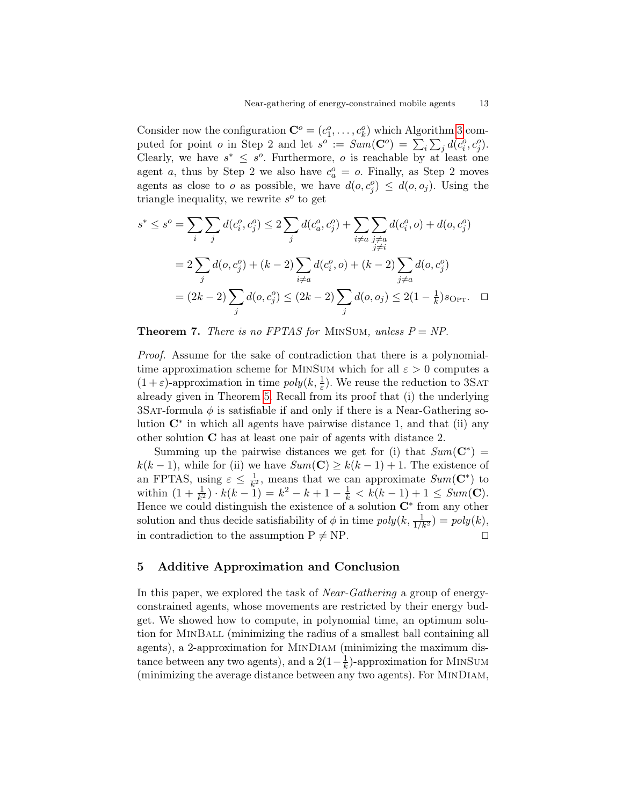Consider now the configuration  $\mathbf{C}^o = (c_1^o, \dots, c_k^o)$  which Algorithm [3](#page-11-1) computed for point *o* in Step 2 and let  $s^o := Sum(\mathbf{C}^o) = \sum_i \sum_j d(c_i^o, c_j^o)$ . Clearly, we have  $s^* \leq s^o$ . Furthermore, *o* is reachable by at least one agent a, thus by Step 2 we also have  $c_a^o = o$ . Finally, as Step 2 moves agents as close to *o* as possible, we have  $d(o, c_j^o) \leq d(o, o_j)$ . Using the triangle inequality, we rewrite  $s^o$  to get

$$
s^* \le s^o = \sum_i \sum_j d(c_i^o, c_j^o) \le 2 \sum_j d(c_a^o, c_j^o) + \sum_{i \neq a} \sum_{\substack{j \neq a \\ j \neq i}} d(c_i^o, o) + d(o, c_j^o)
$$
  
=  $2 \sum_j d(o, c_j^o) + (k - 2) \sum_{i \neq a} d(c_i^o, o) + (k - 2) \sum_{j \neq a} d(o, c_j^o)$   
=  $(2k - 2) \sum_j d(o, c_j^o) \le (2k - 2) \sum_j d(o, o_j) \le 2(1 - \frac{1}{k}) s_{\text{OPT}}$ .

**Theorem 7.** There is no FPTAS for MINSUM, unless  $P = NP$ .

Proof. Assume for the sake of contradiction that there is a polynomialtime approximation scheme for MINSUM which for all  $\varepsilon > 0$  computes a  $(1+\varepsilon)$ -approximation in time  $poly(k, \frac{1}{\varepsilon})$ . We reuse the reduction to 3SAT already given in Theorem [5.](#page-8-0) Recall from its proof that (i) the underlying 3SAT-formula  $\phi$  is satisfiable if and only if there is a Near-Gathering solution  $\mathbb{C}^*$  in which all agents have pairwise distance 1, and that (ii) any other solution C has at least one pair of agents with distance 2.

Summing up the pairwise distances we get for (i) that  $Sum(\mathbf{C}^*)$  =  $k(k-1)$ , while for (ii) we have  $Sum(\mathbf{C}) \geq k(k-1)+1$ . The existence of an FPTAS, using  $\varepsilon \leq \frac{1}{k^2}$  $\frac{1}{k^2}$ , means that we can approximate  $Sum(\mathbf{C}^*)$  to within  $(1 + \frac{1}{k^2}) \cdot k(k - 1) = k^2 - k + 1 - \frac{1}{k} < k(k - 1) + 1 \leq Sum(\mathbf{C}).$ Hence we could distinguish the existence of a solution  $\mathbb{C}^*$  from any other solution and thus decide satisfiability of  $\phi$  in time  $poly(k, \frac{1}{1/k^2}) = poly(k)$ , in contradiction to the assumption  $P \neq NP$ .

# <span id="page-12-0"></span>5 Additive Approximation and Conclusion

In this paper, we explored the task of *Near-Gathering* a group of energyconstrained agents, whose movements are restricted by their energy budget. We showed how to compute, in polynomial time, an optimum solution for MinBall (minimizing the radius of a smallest ball containing all agents), a 2-approximation for MinDiam (minimizing the maximum distance between any two agents), and a  $2(1-\frac{1}{k})$  $\frac{1}{k}$ )-approximation for MINSUM (minimizing the average distance between any two agents). For MinDiam,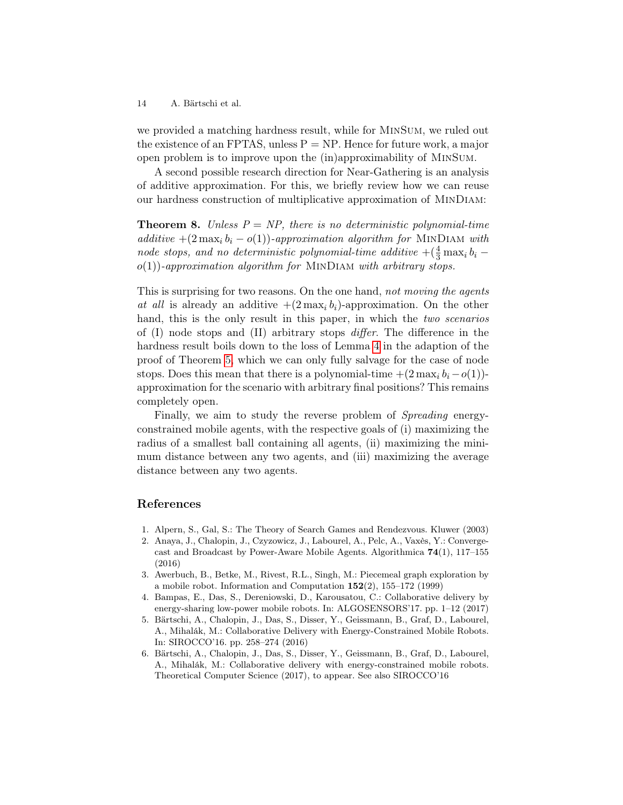we provided a matching hardness result, while for MinSum, we ruled out the existence of an FPTAS, unless  $P = NP$ . Hence for future work, a major open problem is to improve upon the (in)approximability of MinSum.

A second possible research direction for Near-Gathering is an analysis of additive approximation. For this, we briefly review how we can reuse our hardness construction of multiplicative approximation of MinDiam:

**Theorem 8.** Unless  $P = NP$ , there is no deterministic polynomial-time additive  $+(2 \max_i b_i - o(1))$ -approximation algorithm for MINDIAM with node stops, and no deterministic polynomial-time additive  $+(\frac{4}{3} \max_i b_i$  $o(1)$ )-approximation algorithm for MINDIAM with arbitrary stops.

This is surprising for two reasons. On the one hand, not moving the agents at all is already an additive  $+(2 \max_i b_i)$ -approximation. On the other hand, this is the only result in this paper, in which the two scenarios of  $(I)$  node stops and  $(II)$  arbitrary stops *differ*. The difference in the hardness result boils down to the loss of Lemma [4](#page-9-0) in the adaption of the proof of Theorem [5,](#page-8-0) which we can only fully salvage for the case of node stops. Does this mean that there is a polynomial-time  $+(2 \max_i b_i - o(1))$ approximation for the scenario with arbitrary final positions? This remains completely open.

Finally, we aim to study the reverse problem of Spreading energyconstrained mobile agents, with the respective goals of (i) maximizing the radius of a smallest ball containing all agents, (ii) maximizing the minimum distance between any two agents, and (iii) maximizing the average distance between any two agents.

#### References

- <span id="page-13-0"></span>1. Alpern, S., Gal, S.: The Theory of Search Games and Rendezvous. Kluwer (2003)
- <span id="page-13-2"></span>2. Anaya, J., Chalopin, J., Czyzowicz, J., Labourel, A., Pelc, A., Vaxès, Y.: Convergecast and Broadcast by Power-Aware Mobile Agents. Algorithmica 74(1), 117–155 (2016)
- <span id="page-13-1"></span>3. Awerbuch, B., Betke, M., Rivest, R.L., Singh, M.: Piecemeal graph exploration by a mobile robot. Information and Computation 152(2), 155–172 (1999)
- <span id="page-13-5"></span>4. Bampas, E., Das, S., Dereniowski, D., Karousatou, C.: Collaborative delivery by energy-sharing low-power mobile robots. In: ALGOSENSORS'17. pp. 1–12 (2017)
- <span id="page-13-3"></span>5. Bärtschi, A., Chalopin, J., Das, S., Disser, Y., Geissmann, B., Graf, D., Labourel, A., Mihalák, M.: Collaborative Delivery with Energy-Constrained Mobile Robots. In: SIROCCO'16. pp. 258–274 (2016)
- <span id="page-13-4"></span>6. Bärtschi, A., Chalopin, J., Das, S., Disser, Y., Geissmann, B., Graf, D., Labourel, A., Mihalák, M.: Collaborative delivery with energy-constrained mobile robots. Theoretical Computer Science (2017), to appear. See also SIROCCO'16